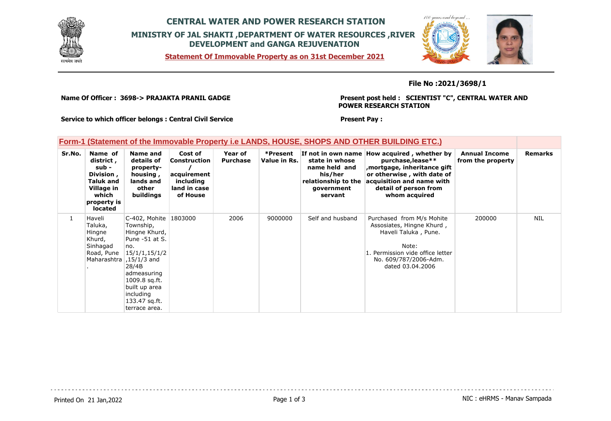

## **CENTRAL WATER AND POWER RESEARCH STATION MINISTRY OF JAL SHAKTI ,DEPARTMENT OF WATER RESOURCES ,RIVER DEVELOPMENT and GANGA REJUVENATION**

**Statement Of Immovable Property as on 31st December 2021**



#### **File No :2021/3698/1**

**Name Of Officer : 3698-> PRAJAKTA PRANIL GADGE** 

**Present post held : SCIENTIST "C", CENTRAL WATER AND POWER RESEARCH STATION**

**Service to which officer belongs : Central Civil Service**

### **Present Pay :**

#### **Form-1 (Statement of the Immovable Property i.e LANDS, HOUSE, SHOPS AND OTHER BUILDING ETC.)**

| Sr.No. | Name of<br>district,<br>sub -<br>Division,<br><b>Taluk and</b><br>Village in<br>which<br>property is<br><b>located</b> | Name and<br>details of<br>property-<br>housing,<br>lands and<br>other<br>buildings                                                                                                                                                 | Cost of<br>Construction<br>acquirement<br>including<br>land in case<br>of House | Year of<br><b>Purchase</b> | *Present<br>Value in Rs. | If not in own name<br>state in whose<br>name held and<br>his/her<br>relationship to the<br>government<br>servant | How acquired, whether by<br>purchase, lease**<br>mortgage, inheritance gift,<br>or otherwise, with date of<br>acquisition and name with<br>detail of person from<br>whom acquired | <b>Annual Income</b><br>from the property | <b>Remarks</b> |
|--------|------------------------------------------------------------------------------------------------------------------------|------------------------------------------------------------------------------------------------------------------------------------------------------------------------------------------------------------------------------------|---------------------------------------------------------------------------------|----------------------------|--------------------------|------------------------------------------------------------------------------------------------------------------|-----------------------------------------------------------------------------------------------------------------------------------------------------------------------------------|-------------------------------------------|----------------|
| 1      | Haveli<br>Taluka,<br>Hingne<br>Khurd,<br>Sinhagad<br>Road, Pune                                                        | C-402, Mohite 1803000<br>Township,<br>Hingne Khurd,<br>Pune -51 at S.<br>no.<br>15/1/1,15/1/2<br>Maharashtra 1,15/1/3 and<br>28/4B<br>admeasuring<br>1009.8 sq.ft.<br>built up area<br>including<br>133.47 sq.ft.<br>terrace area. |                                                                                 | 2006                       | 9000000                  | Self and husband                                                                                                 | Purchased from M/s Mohite<br>Assosiates, Hingne Khurd,<br>Haveli Taluka, Pune.<br>Note:<br>Permission vide office letter<br>No. 609/787/2006-Adm.<br>dated 03.04.2006             | 200000                                    | <b>NIL</b>     |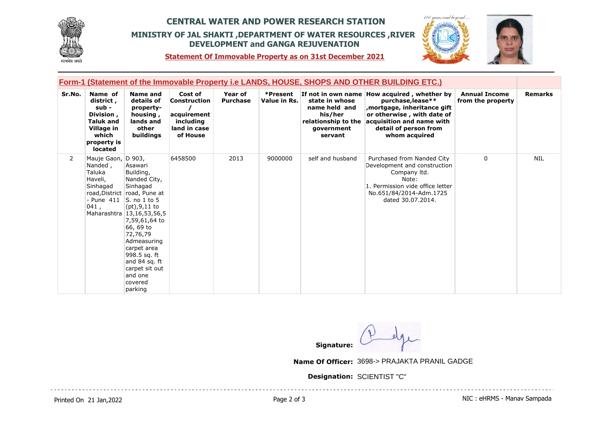

## **CENTRAL WATER AND POWER RESEARCH STATION MINISTRY OF JAL SHAKTI ,DEPARTMENT OF WATER RESOURCES ,RIVER DEVELOPMENT and GANGA REJUVENATION**



**Statement Of Immovable Property as on 31st December 2021**

|                | <u>Form-1 (Statement of the Immovable Property i.e LANDS, HOUSE, SHOPS AND OTHER BUILDING ETC.)</u>               |                                                                                                                                                                                                                                                                                                                        |                                                                                 |                                   |                          |                                                                                            |                                                                                                                                                                                                       |                                           |                |  |
|----------------|-------------------------------------------------------------------------------------------------------------------|------------------------------------------------------------------------------------------------------------------------------------------------------------------------------------------------------------------------------------------------------------------------------------------------------------------------|---------------------------------------------------------------------------------|-----------------------------------|--------------------------|--------------------------------------------------------------------------------------------|-------------------------------------------------------------------------------------------------------------------------------------------------------------------------------------------------------|-------------------------------------------|----------------|--|
| Sr.No.         | Name of<br>district,<br>$sub -$<br>Division,<br><b>Taluk and</b><br>Village in<br>which<br>property is<br>located | Name and<br>details of<br>property-<br>housing,<br>lands and<br>other<br><b>buildings</b>                                                                                                                                                                                                                              | Cost of<br>Construction<br>acquirement<br>including<br>land in case<br>of House | <b>Year of</b><br><b>Purchase</b> | *Present<br>Value in Rs. | state in whose<br>name held and<br>his/her<br>relationship to the<br>qovernment<br>servant | If not in own name How acquired, whether by<br>purchase, lease**<br>, mortgage, inheritance gift<br>or otherwise, with date of<br>acquisition and name with<br>detail of person from<br>whom acquired | <b>Annual Income</b><br>from the property | <b>Remarks</b> |  |
| $\overline{2}$ | Mauje Gaon, D 903,<br>Nanded,<br>Taluka<br>Haveli,<br>Sinhagad<br>$041$ ,                                         | Asawari<br>Building,<br>Nanded City,<br>Sinhagad<br>road, District road, Pune at<br>- Pune 411 S. no 1 to 5<br>(pt), 9, 11 to<br>Maharashtra 13,16,53,56,5<br>7,59,61,64 to<br>66, 69 to<br>72,76,79<br>Admeasuring<br>carpet area<br>998.5 sq. ft<br>and 84 sq. ft<br>carpet sit out<br>and one<br>covered<br>parking | 6458500                                                                         | 2013                              | 9000000                  | self and husband                                                                           | Purchased from Nanded City<br>Development and construction<br>Company Itd.<br>Note:<br>1. Permission vide office letter<br>No.651/84/2014-Adm.1725<br>dated 30.07.2014.                               | $\Omega$                                  | <b>NIL</b>     |  |

**Signature:**

**Name Of Officer:** 3698-> PRAJAKTA PRANIL GADGE

**Designation:** SCIENTIST "C"